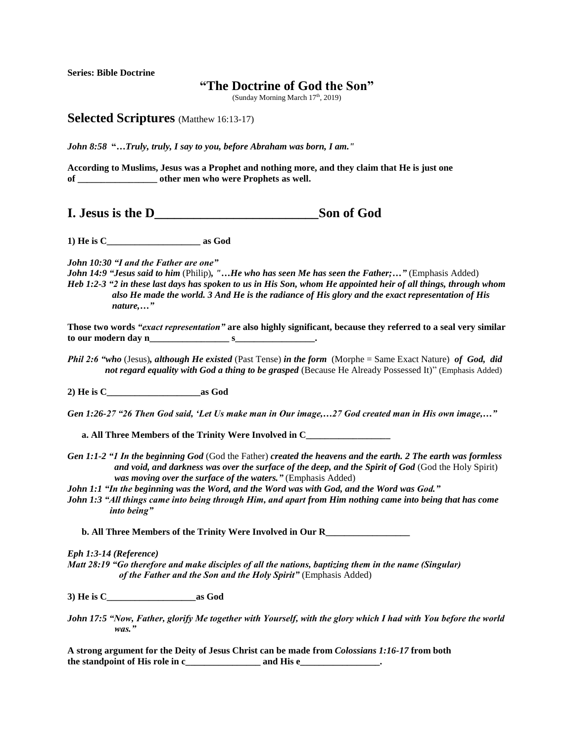**Series: Bible Doctrine**

## **"The Doctrine of God the Son"**

(Sunday Morning March  $17<sup>th</sup>$ , 2019)

**Selected Scriptures** (Matthew 16:13-17)

*John 8:58* **"***…Truly, truly, I say to you, before Abraham was born, I am."*

**According to Muslims, Jesus was a Prophet and nothing more, and they claim that He is just one of \_\_\_\_\_\_\_\_\_\_\_\_\_\_\_\_\_ other men who were Prophets as well.** 

**I. Jesus is the D\_\_\_\_\_\_\_\_\_\_\_\_\_\_\_\_\_\_\_\_\_\_\_\_\_Son of God**

**1) He is C\_\_\_\_\_\_\_\_\_\_\_\_\_\_\_\_\_\_\_\_ as God**

*John 10:30 "I and the Father are one"*

*John 14:9 "Jesus said to him* (Philip)*, "…He who has seen Me has seen the Father;…"* (Emphasis Added) *Heb 1:2-3 "2 in these last days has spoken to us in His Son, whom He appointed heir of all things, through whom also He made the world. 3 And He is the radiance of His glory and the exact representation of His nature,…"*

**Those two words** *"exact representation"* **are also highly significant, because they referred to a seal very similar to our modern day n\_\_\_\_\_\_\_\_\_\_\_\_\_\_\_\_\_ s\_\_\_\_\_\_\_\_\_\_\_\_\_\_\_\_\_.** 

*Phil 2:6 "who* (Jesus)*, although He existed* (Past Tense) *in the form* (Morphe = Same Exact Nature) *of God, did not regard equality with God a thing to be grasped* (Because He Already Possessed It)" (Emphasis Added)

**2) He is C\_\_\_\_\_\_\_\_\_\_\_\_\_\_\_\_\_\_\_\_as God**

*Gen 1:26-27 "26 Then God said, 'Let Us make man in Our image,…27 God created man in His own image,…"*

 **a. All Three Members of the Trinity Were Involved in C\_\_\_\_\_\_\_\_\_\_\_\_\_\_\_\_\_\_**

- *Gen 1:1-2 "1 In the beginning God* (God the Father) *created the heavens and the earth. 2 The earth was formless and void, and darkness was over the surface of the deep, and the Spirit of God* (God the Holy Spirit) *was moving over the surface of the waters."* (Emphasis Added)
- *John 1:1 "In the beginning was the Word, and the Word was with God, and the Word was God."*
- *John 1:3 "All things came into being through Him, and apart from Him nothing came into being that has come into being"*

 **b. All Three Members of the Trinity Were Involved in Our R\_\_\_\_\_\_\_\_\_\_\_\_\_\_\_\_\_\_**

*Eph 1:3-14 (Reference)*

*Matt 28:19 "Go therefore and make disciples of all the nations, baptizing them in the name (Singular) of the Father and the Son and the Holy Spirit"* (Emphasis Added)

**3) He is C\_\_\_\_\_\_\_\_\_\_\_\_\_\_\_\_\_\_\_as God**

**A strong argument for the Deity of Jesus Christ can be made from** *Colossians 1:16-17* **from both the standpoint of His role in c\_\_\_\_\_\_\_\_\_\_\_\_\_\_\_\_ and His e\_\_\_\_\_\_\_\_\_\_\_\_\_\_\_\_\_.**

*John 17:5 "Now, Father, glorify Me together with Yourself, with the glory which I had with You before the world was."*